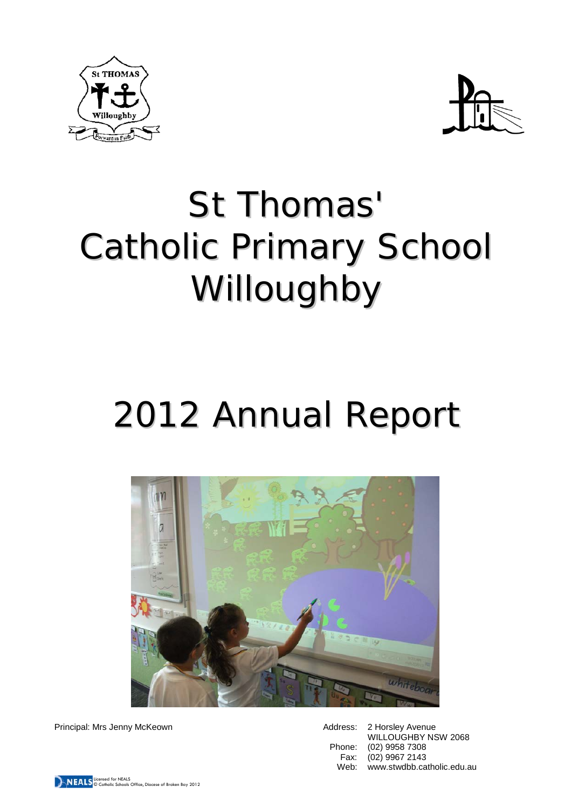



# St Thomas' Catholic Primary School Willoughby

# 2012 Annual Report



Principal: Mrs Jenny McKeown **Address: 2 Horsley Avenue** Address: 2 Horsley Avenue

WILLOUGHBY NSW 2068 Phone: (02) 9958 7308<br>Fax: (02) 9967 2143 Fax: (02) 9967 2143<br>Web: www.stwdbb.ca Web: www.stwdbb.catholic.edu.au

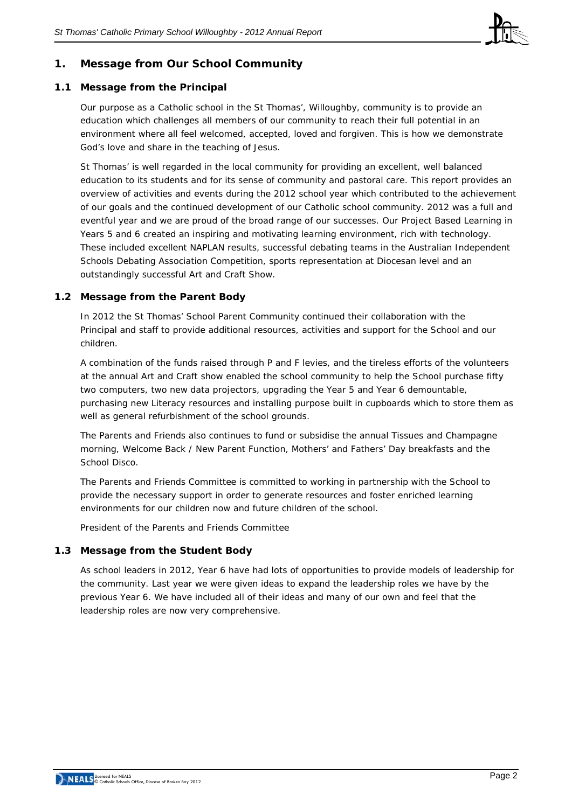

# **1. Message from Our School Community**

## **1.1 Message from the Principal**

Our purpose as a Catholic school in the St Thomas', Willoughby, community is to provide an education which challenges all members of our community to reach their full potential in an environment where all feel welcomed, accepted, loved and forgiven. This is how we demonstrate God's love and share in the teaching of Jesus.

St Thomas' is well regarded in the local community for providing an excellent, well balanced education to its students and for its sense of community and pastoral care. This report provides an overview of activities and events during the 2012 school year which contributed to the achievement of our goals and the continued development of our Catholic school community. 2012 was a full and eventful year and we are proud of the broad range of our successes. Our Project Based Learning in Years 5 and 6 created an inspiring and motivating learning environment, rich with technology. These included excellent NAPLAN results, successful debating teams in the Australian Independent Schools Debating Association Competition, sports representation at Diocesan level and an outstandingly successful Art and Craft Show.

## **1.2 Message from the Parent Body**

In 2012 the St Thomas' School Parent Community continued their collaboration with the Principal and staff to provide additional resources, activities and support for the School and our children.

A combination of the funds raised through P and F levies, and the tireless efforts of the volunteers at the annual Art and Craft show enabled the school community to help the School purchase fifty two computers, two new data projectors, upgrading the Year 5 and Year 6 demountable, purchasing new Literacy resources and installing purpose built in cupboards which to store them as well as general refurbishment of the school grounds.

The Parents and Friends also continues to fund or subsidise the annual Tissues and Champagne morning, Welcome Back / New Parent Function, Mothers' and Fathers' Day breakfasts and the School Disco.

The Parents and Friends Committee is committed to working in partnership with the School to provide the necessary support in order to generate resources and foster enriched learning environments for our children now and future children of the school.

*President of the Parents and Friends Committee*

### **1.3 Message from the Student Body**

As school leaders in 2012, Year 6 have had lots of opportunities to provide models of leadership for the community. Last year we were given ideas to expand the leadership roles we have by the previous Year 6. We have included all of their ideas and many of our own and feel that the leadership roles are now very comprehensive.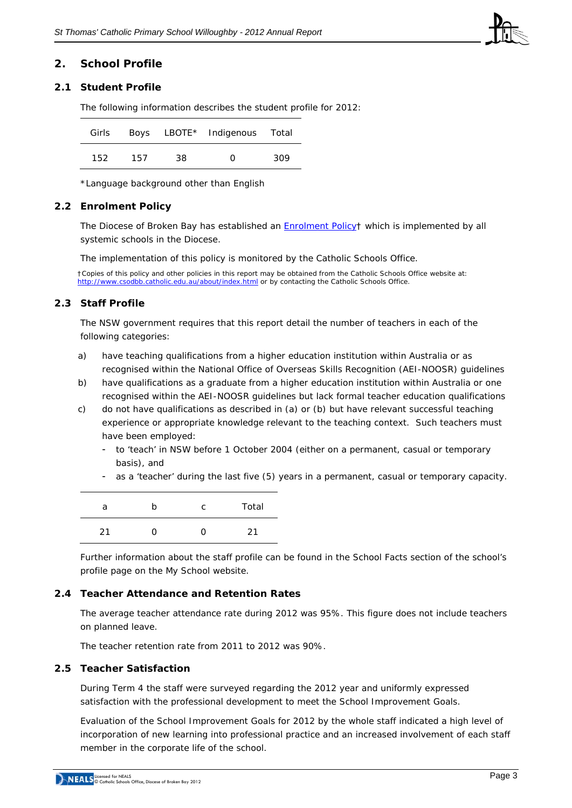

### **2. School Profile**

### **2.1 Student Profile**

The following information describes the student profile for 2012:

|     |     |     | Girls Boys LBOTE* Indigenous Total |     |
|-----|-----|-----|------------------------------------|-----|
| 152 | 157 | 38. | O                                  | 309 |

\*Language background other than English

#### **2.2 Enrolment Policy**

The Diocese of Broken Bay has established an [Enrolment Policy†](http://www.csodbb.catholic.edu.au/resources/pdfs/Enrolment%20Policy.pdf) which is implemented by all systemic schools in the Diocese.

The implementation of this policy is monitored by the Catholic Schools Office.

†Copies of this policy and other policies in this report may be obtained from the Catholic Schools Office website at: <http://www.csodbb.catholic.edu.au/about/index.html> or by contacting the Catholic Schools Office.

### **2.3 Staff Profile**

The NSW government requires that this report detail the number of teachers in each of the following categories:

- a) have teaching qualifications from a higher education institution within Australia or as recognised within the National Office of Overseas Skills Recognition (AEI-NOOSR) guidelines
- b) have qualifications as a graduate from a higher education institution within Australia or one recognised within the AEI-NOOSR guidelines but lack formal teacher education qualifications
- c) do not have qualifications as described in (a) or (b) but have relevant successful teaching experience or appropriate knowledge relevant to the teaching context. Such teachers must have been employed:
	- to 'teach' in NSW before 1 October 2004 (either on a permanent, casual or temporary basis), and
	- as a 'teacher' during the last five (5) years in a permanent, casual or temporary capacity.

| а  | n | C | Total |
|----|---|---|-------|
| 21 |   | 0 | 21    |

Further information about the staff profile can be found in the School Facts section of the school's profile page on the *My School* website.

### **2.4 Teacher Attendance and Retention Rates**

The average teacher attendance rate during 2012 was 95%. This figure does not include teachers on planned leave.

The teacher retention rate from 2011 to 2012 was 90%.

## **2.5 Teacher Satisfaction**

During Term 4 the staff were surveyed regarding the 2012 year and uniformly expressed satisfaction with the professional development to meet the School Improvement Goals.

Evaluation of the School Improvement Goals for 2012 by the whole staff indicated a high level of incorporation of new learning into professional practice and an increased involvement of each staff member in the corporate life of the school.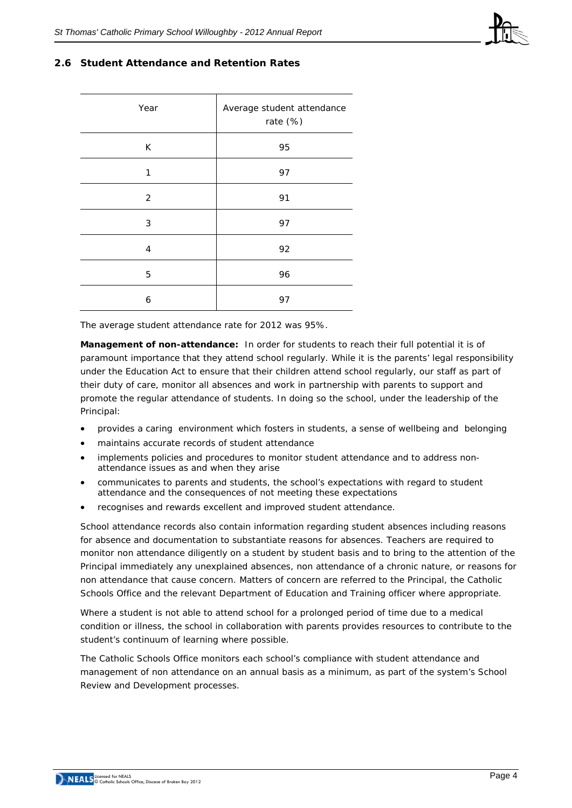

## **2.6 Student Attendance and Retention Rates**

| Year           | Average student attendance<br>rate (%) |  |  |
|----------------|----------------------------------------|--|--|
| K              | 95                                     |  |  |
| 1              | 97                                     |  |  |
| $\overline{2}$ | 91                                     |  |  |
| 3              | 97                                     |  |  |
| 4              | 92                                     |  |  |
| 5              | 96                                     |  |  |
| 6              | 97                                     |  |  |

The average student attendance rate for 2012 was 95%.

**Management of non-attendance:** In order for students to reach their full potential it is of paramount importance that they attend school regularly. While it is the parents' legal responsibility under the Education Act to ensure that their children attend school regularly, our staff as part of their duty of care, monitor all absences and work in partnership with parents to support and promote the regular attendance of students. In doing so the school, under the leadership of the Principal:

- provides a caring environment which fosters in students, a sense of wellbeing and belonging
- maintains accurate records of student attendance
- implements policies and procedures to monitor student attendance and to address nonattendance issues as and when they arise
- communicates to parents and students, the school's expectations with regard to student attendance and the consequences of not meeting these expectations
- recognises and rewards excellent and improved student attendance.

School attendance records also contain information regarding student absences including reasons for absence and documentation to substantiate reasons for absences. Teachers are required to monitor non attendance diligently on a student by student basis and to bring to the attention of the Principal immediately any unexplained absences, non attendance of a chronic nature, or reasons for non attendance that cause concern. Matters of concern are referred to the Principal, the Catholic Schools Office and the relevant Department of Education and Training officer where appropriate.

Where a student is not able to attend school for a prolonged period of time due to a medical condition or illness, the school in collaboration with parents provides resources to contribute to the student's continuum of learning where possible.

The Catholic Schools Office monitors each school's compliance with student attendance and management of non attendance on an annual basis as a minimum, as part of the system's School Review and Development processes.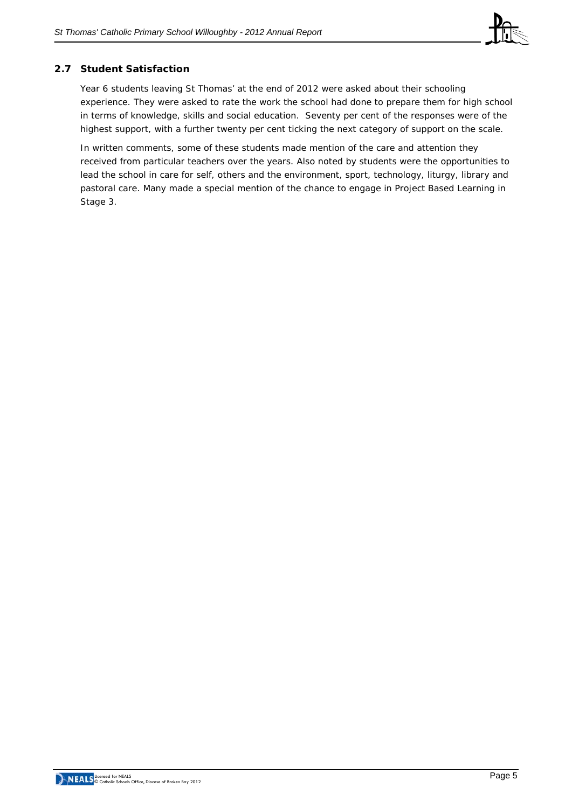

# **2.7 Student Satisfaction**

Year 6 students leaving St Thomas' at the end of 2012 were asked about their schooling experience. They were asked to rate the work the school had done to prepare them for high school in terms of knowledge, skills and social education. Seventy per cent of the responses were of the highest support, with a further twenty per cent ticking the next category of support on the scale.

In written comments, some of these students made mention of the care and attention they received from particular teachers over the years. Also noted by students were the opportunities to lead the school in care for self, others and the environment, sport, technology, liturgy, library and pastoral care. Many made a special mention of the chance to engage in Project Based Learning in Stage 3.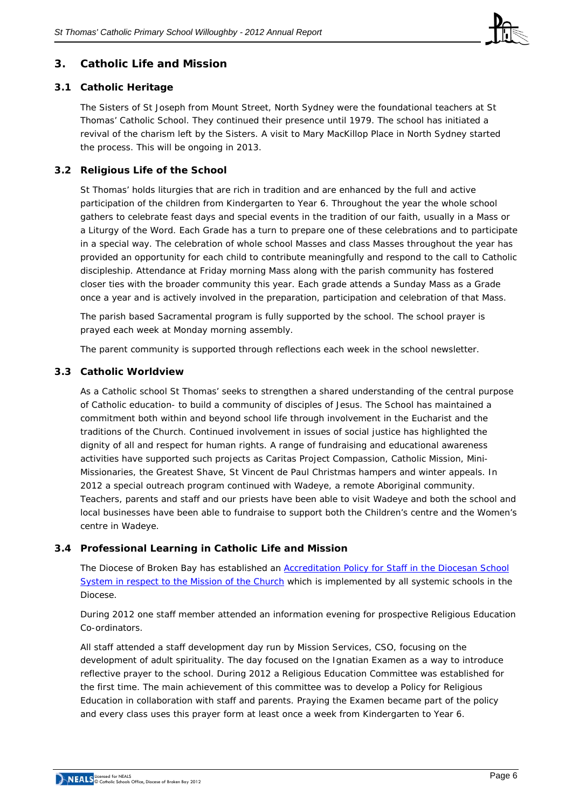

# **3. Catholic Life and Mission**

# **3.1 Catholic Heritage**

The Sisters of St Joseph from Mount Street, North Sydney were the foundational teachers at St Thomas' Catholic School. They continued their presence until 1979. The school has initiated a revival of the charism left by the Sisters. A visit to Mary MacKillop Place in North Sydney started the process. This will be ongoing in 2013.

# **3.2 Religious Life of the School**

St Thomas' holds liturgies that are rich in tradition and are enhanced by the full and active participation of the children from Kindergarten to Year 6. Throughout the year the whole school gathers to celebrate feast days and special events in the tradition of our faith, usually in a Mass or a Liturgy of the Word. Each Grade has a turn to prepare one of these celebrations and to participate in a special way. The celebration of whole school Masses and class Masses throughout the year has provided an opportunity for each child to contribute meaningfully and respond to the call to Catholic discipleship. Attendance at Friday morning Mass along with the parish community has fostered closer ties with the broader community this year. Each grade attends a Sunday Mass as a Grade once a year and is actively involved in the preparation, participation and celebration of that Mass.

The parish based Sacramental program is fully supported by the school. The school prayer is prayed each week at Monday morning assembly.

The parent community is supported through reflections each week in the school newsletter.

### **3.3 Catholic Worldview**

As a Catholic school St Thomas' seeks to strengthen a shared understanding of the central purpose of Catholic education- to build a community of disciples of Jesus. The School has maintained a commitment both within and beyond school life through involvement in the Eucharist and the traditions of the Church. Continued involvement in issues of social justice has highlighted the dignity of all and respect for human rights. A range of fundraising and educational awareness activities have supported such projects as Caritas Project Compassion, Catholic Mission, Mini-Missionaries, the Greatest Shave, St Vincent de Paul Christmas hampers and winter appeals. In 2012 a special outreach program continued with Wadeye, a remote Aboriginal community. Teachers, parents and staff and our priests have been able to visit Wadeye and both the school and local businesses have been able to fundraise to support both the Children's centre and the Women's centre in Wadeye.

# **3.4 Professional Learning in Catholic Life and Mission**

The Diocese of Broken Bay has established an [Accreditation Policy for Staff in the Diocesan School](http://www.csodbb.catholic.edu.au/resources/pdfs/Policy-Rqs_Accrd_Tchrs_RE.pdf)  [System in respect to the Mission of the Church](http://www.csodbb.catholic.edu.au/resources/pdfs/Policy-Rqs_Accrd_Tchrs_RE.pdf) which is implemented by all systemic schools in the Diocese.

During 2012 one staff member attended an information evening for prospective Religious Education Co-ordinators.

All staff attended a staff development day run by Mission Services, CSO, focusing on the development of adult spirituality. The day focused on the Ignatian Examen as a way to introduce reflective prayer to the school. During 2012 a Religious Education Committee was established for the first time. The main achievement of this committee was to develop a Policy for Religious Education in collaboration with staff and parents. Praying the Examen became part of the policy and every class uses this prayer form at least once a week from Kindergarten to Year 6.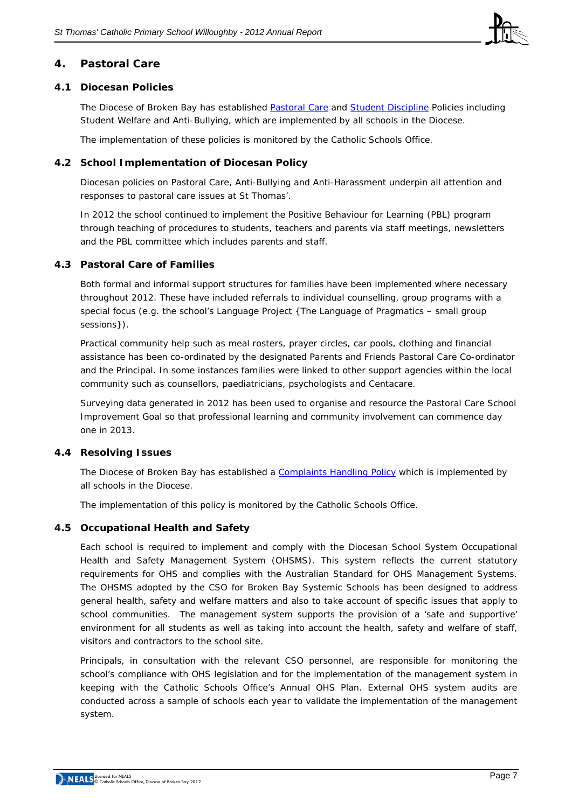

# **4. Pastoral Care**

## **4.1 Diocesan Policies**

The Diocese of Broken Bay has established [Pastoral Care](http://www.csodbb.catholic.edu.au/resources/pdfs/Pastoral%20Care%20Policy.pdf) and [Student Discipline](http://www.csodbb.catholic.edu.au/resources/pdfs/Behaviour%20Management%20and%20Student%20Discipline%20Policy.pdf) Policies including Student Welfare and Anti-Bullying, which are implemented by all schools in the Diocese.

The implementation of these policies is monitored by the Catholic Schools Office.

## **4.2 School Implementation of Diocesan Policy**

Diocesan policies on Pastoral Care, Anti-Bullying and Anti-Harassment underpin all attention and responses to pastoral care issues at St Thomas'.

In 2012 the school continued to implement the Positive Behaviour for Learning (PBL) program through teaching of procedures to students, teachers and parents via staff meetings, newsletters and the PBL committee which includes parents and staff.

## **4.3 Pastoral Care of Families**

Both formal and informal support structures for families have been implemented where necessary throughout 2012. These have included referrals to individual counselling, group programs with a special focus (e.g. the school's Language Project {The Language of Pragmatics – small group sessions}).

Practical community help such as meal rosters, prayer circles, car pools, clothing and financial assistance has been co-ordinated by the designated Parents and Friends Pastoral Care Co-ordinator and the Principal. In some instances families were linked to other support agencies within the local community such as counsellors, paediatricians, psychologists and Centacare.

Surveying data generated in 2012 has been used to organise and resource the Pastoral Care School Improvement Goal so that professional learning and community involvement can commence day one in 2013.

### **4.4 Resolving Issues**

The Diocese of Broken Bay has established a [Complaints Handling Policy](http://www.cso.brokenbay.catholic.edu.au/resources/pdfs/Policy-Complaints_Handling.pdf) which is implemented by all schools in the Diocese.

The implementation of this policy is monitored by the Catholic Schools Office.

# **4.5 Occupational Health and Safety**

Each school is required to implement and comply with the Diocesan School System Occupational Health and Safety Management System (OHSMS). This system reflects the current statutory requirements for OHS and complies with the Australian Standard for OHS Management Systems. The OHSMS adopted by the CSO for Broken Bay Systemic Schools has been designed to address general health, safety and welfare matters and also to take account of specific issues that apply to school communities. The management system supports the provision of a 'safe and supportive' environment for all students as well as taking into account the health, safety and welfare of staff, visitors and contractors to the school site.

Principals, in consultation with the relevant CSO personnel, are responsible for monitoring the school's compliance with OHS legislation and for the implementation of the management system in keeping with the Catholic Schools Office's Annual OHS Plan. External OHS system audits are conducted across a sample of schools each year to validate the implementation of the management system.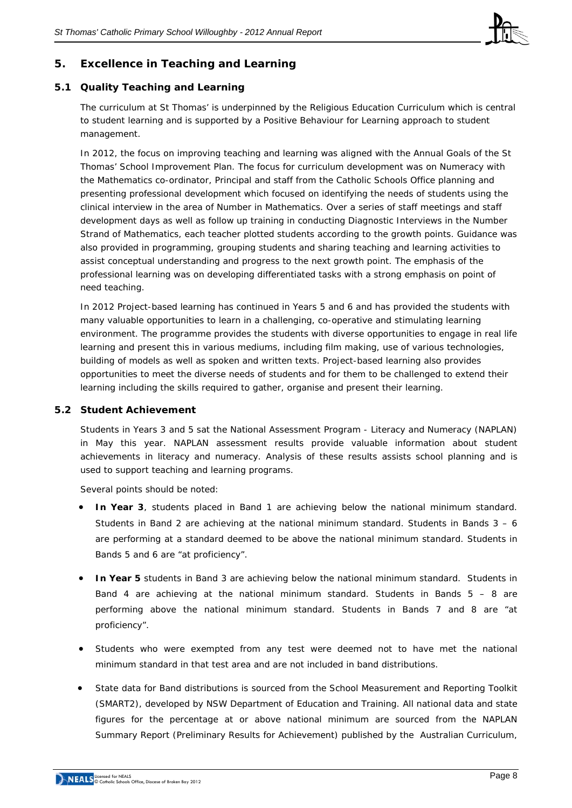

# **5. Excellence in Teaching and Learning**

# **5.1 Quality Teaching and Learning**

The curriculum at St Thomas' is underpinned by the Religious Education Curriculum which is central to student learning and is supported by a Positive Behaviour for Learning approach to student management.

In 2012, the focus on improving teaching and learning was aligned with the Annual Goals of the St Thomas' School Improvement Plan. The focus for curriculum development was on Numeracy with the Mathematics co-ordinator, Principal and staff from the Catholic Schools Office planning and presenting professional development which focused on identifying the needs of students using the clinical interview in the area of Number in Mathematics. Over a series of staff meetings and staff development days as well as follow up training in conducting Diagnostic Interviews in the Number Strand of Mathematics, each teacher plotted students according to the growth points. Guidance was also provided in programming, grouping students and sharing teaching and learning activities to assist conceptual understanding and progress to the next growth point. The emphasis of the professional learning was on developing differentiated tasks with a strong emphasis on point of need teaching.

In 2012 Project-based learning has continued in Years 5 and 6 and has provided the students with many valuable opportunities to learn in a challenging, co-operative and stimulating learning environment. The programme provides the students with diverse opportunities to engage in real life learning and present this in various mediums, including film making, use of various technologies, building of models as well as spoken and written texts. Project-based learning also provides opportunities to meet the diverse needs of students and for them to be challenged to extend their learning including the skills required to gather, organise and present their learning.

### **5.2 Student Achievement**

Students in Years 3 and 5 sat the *National Assessment Program - Literacy and Numeracy* (NAPLAN) in May this year. NAPLAN assessment results provide valuable information about student achievements in literacy and numeracy. Analysis of these results assists school planning and is used to support teaching and learning programs.

Several points should be noted:

- **In Year 3**, students placed in Band 1 are achieving below the national minimum standard. Students in Band 2 are achieving at the national minimum standard. Students in Bands  $3 - 6$ are performing at a standard deemed to be above the national minimum standard. Students in Bands 5 and 6 are "at proficiency".
- **In Year 5** students in Band 3 are achieving below the national minimum standard. Students in Band 4 are achieving at the national minimum standard. Students in Bands  $5 - 8$  are performing above the national minimum standard. Students in Bands 7 and 8 are "at proficiency".
- Students who were exempted from any test were deemed not to have met the national minimum standard in that test area and are not included in band distributions.
- State data for Band distributions is sourced from the School Measurement and Reporting Toolkit (SMART2), developed by NSW Department of Education and Training. All national data and state figures for the percentage at or above national minimum are sourced from the NAPLAN Summary Report (Preliminary Results for Achievement) published by the Australian Curriculum,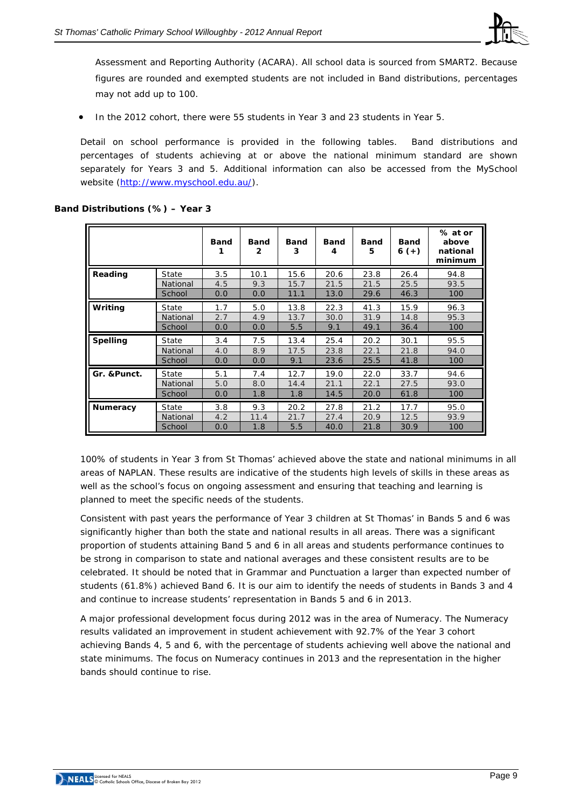

Assessment and Reporting Authority (ACARA). All school data is sourced from SMART2. Because figures are rounded and exempted students are not included in Band distributions, percentages may not add up to 100.

• In the 2012 cohort, there were 55 students in Year 3 and 23 students in Year 5.

Detail on school performance is provided in the following tables. Band distributions and percentages of students achieving at or above the national minimum standard are shown separately for Years 3 and 5. Additional information can also be accessed from the *MySchool* website [\(http://www.myschool.edu.au/\)](http://www.myschool.edu.au/).

|                 |          | <b>Band</b> | <b>Band</b><br>2 | <b>Band</b><br>3 | <b>Band</b><br>4 | <b>Band</b><br>5 | <b>Band</b><br>$6 (+)$ | % at or<br>above<br>national<br>minimum |
|-----------------|----------|-------------|------------------|------------------|------------------|------------------|------------------------|-----------------------------------------|
| Reading         | State    | 3.5         | 10.1             | 15.6             | 20.6             | 23.8             | 26.4                   | 94.8                                    |
|                 | National | 4.5         | 9.3              | 15.7             | 21.5             | 21.5             | 25.5                   | 93.5                                    |
|                 | School   | 0.0         | 0.0              | 11.1             | 13.0             | 29.6             | 46.3                   | 100                                     |
| Writing         | State    | 1.7         | 5.0              | 13.8             | 22.3             | 41.3             | 15.9                   | 96.3                                    |
|                 | National | 2.7         | 4.9              | 13.7             | 30.0             | 31.9             | 14.8                   | 95.3                                    |
|                 | School   | 0.0         | 0.0              | 5.5              | 9.1              | 49.1             | 36.4                   | 100                                     |
| <b>Spelling</b> | State    | 3.4         | 7.5              | 13.4             | 25.4             | 20.2             | 30.1                   | 95.5                                    |
|                 | National | 4.0         | 8.9              | 17.5             | 23.8             | 22.1             | 21.8                   | 94.0                                    |
|                 | School   | 0.0         | 0.0              | 9.1              | 23.6             | 25.5             | 41.8                   | 100                                     |
| Gr. & Punct.    | State    | 5.1         | 7.4              | 12.7             | 19.0             | 22.0             | 33.7                   | 94.6                                    |
|                 | National | 5.0         | 8.0              | 14.4             | 21.1             | 22.1             | 27.5                   | 93.0                                    |
|                 | School   | 0.0         | 1.8              | 1.8              | 14.5             | 20.0             | 61.8                   | 100                                     |
| <b>Numeracy</b> | State    | 3.8         | 9.3              | 20.2             | 27.8             | 21.2             | 17.7                   | 95.0                                    |
|                 | National | 4.2         | 11.4             | 21.7             | 27.4             | 20.9             | 12.5                   | 93.9                                    |
|                 | School   | 0.0         | 1.8              | 5.5              | 40.0             | 21.8             | 30.9                   | 100                                     |

# **Band Distributions (%) – Year 3**

100% of students in Year 3 from St Thomas' achieved above the state and national minimums in all areas of NAPLAN. These results are indicative of the students high levels of skills in these areas as well as the school's focus on ongoing assessment and ensuring that teaching and learning is planned to meet the specific needs of the students.

Consistent with past years the performance of Year 3 children at St Thomas' in Bands 5 and 6 was significantly higher than both the state and national results in all areas. There was a significant proportion of students attaining Band 5 and 6 in all areas and students performance continues to be strong in comparison to state and national averages and these consistent results are to be celebrated. It should be noted that in Grammar and Punctuation a larger than expected number of students (61.8%) achieved Band 6. It is our aim to identify the needs of students in Bands 3 and 4 and continue to increase students' representation in Bands 5 and 6 in 2013.

A major professional development focus during 2012 was in the area of Numeracy. The Numeracy results validated an improvement in student achievement with 92.7% of the Year 3 cohort achieving Bands 4, 5 and 6, with the percentage of students achieving well above the national and state minimums. The focus on Numeracy continues in 2013 and the representation in the higher bands should continue to rise.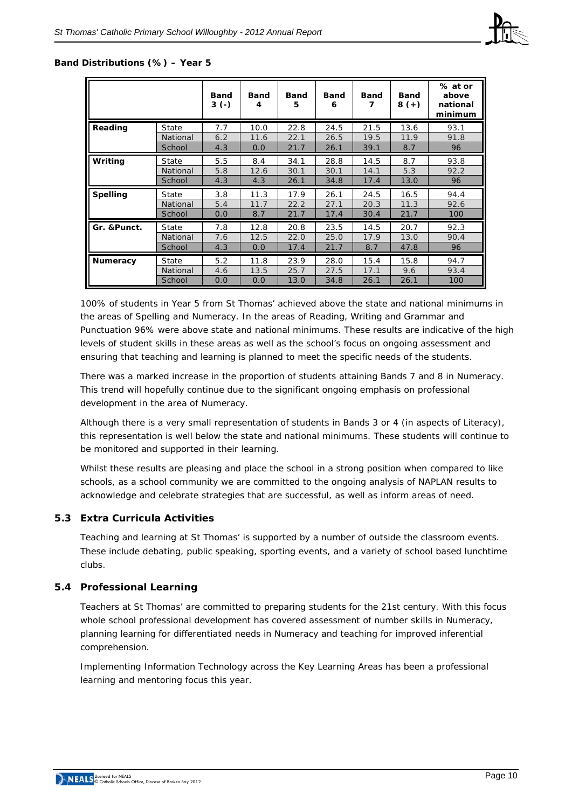#### **Band Distributions (%) – Year 5**

|                 |          | <b>Band</b><br>$3(-)$ | Band<br>4 | <b>Band</b><br>5 | <b>Band</b><br>6 | <b>Band</b><br>7 | <b>Band</b><br>$8 (+)$ | % at or<br>above<br>national<br>minimum |
|-----------------|----------|-----------------------|-----------|------------------|------------------|------------------|------------------------|-----------------------------------------|
| Reading         | State    | 7.7                   | 10.0      | 22.8             | 24.5             | 21.5             | 13.6                   | 93.1                                    |
|                 | National | 6.2                   | 11.6      | 22.1             | 26.5             | 19.5             | 11.9                   | 91.8                                    |
|                 | School   | 4.3                   | 0.0       | 21.7             | 26.1             | 39.1             | 8.7                    | 96                                      |
| Writing         | State    | 5.5                   | 8.4       | 34.1             | 28.8             | 14.5             | 8.7                    | 93.8                                    |
|                 | National | 5.8                   | 12.6      | 30.1             | 30.1             | 14.1             | 5.3                    | 92.2                                    |
|                 | School   | 4.3                   | 4.3       | 26.1             | 34.8             | 17.4             | 13.0                   | 96                                      |
| <b>Spelling</b> | State    | 3.8                   | 11.3      | 17.9             | 26.1             | 24.5             | 16.5                   | 94.4                                    |
|                 | National | 5.4                   | 11.7      | 22.2             | 27.1             | 20.3             | 11.3                   | 92.6                                    |
|                 | School   | 0.0                   | 8.7       | 21.7             | 17.4             | 30.4             | 21.7                   | 100                                     |
| Gr. & Punct.    | State    | 7.8                   | 12.8      | 20.8             | 23.5             | 14.5             | 20.7                   | 92.3                                    |
|                 | National | 7.6                   | 12.5      | 22.0             | 25.0             | 17.9             | 13.0                   | 90.4                                    |
|                 | School   | 4.3                   | 0.0       | 17.4             | 21.7             | 8.7              | 47.8                   | 96                                      |
| Numeracy        | State    | 5.2                   | 11.8      | 23.9             | 28.0             | 15.4             | 15.8                   | 94.7                                    |
|                 | National | 4.6                   | 13.5      | 25.7             | 27.5             | 17.1             | 9.6                    | 93.4                                    |
|                 | School   | 0.0                   | 0.0       | 13.0             | 34.8             | 26.1             | 26.1                   | 100                                     |

100% of students in Year 5 from St Thomas' achieved above the state and national minimums in the areas of Spelling and Numeracy. In the areas of Reading, Writing and Grammar and Punctuation 96% were above state and national minimums. These results are indicative of the high levels of student skills in these areas as well as the school's focus on ongoing assessment and ensuring that teaching and learning is planned to meet the specific needs of the students.

There was a marked increase in the proportion of students attaining Bands 7 and 8 in Numeracy. This trend will hopefully continue due to the significant ongoing emphasis on professional development in the area of Numeracy.

Although there is a very small representation of students in Bands 3 or 4 (in aspects of Literacy), this representation is well below the state and national minimums. These students will continue to be monitored and supported in their learning.

Whilst these results are pleasing and place the school in a strong position when compared to like schools, as a school community we are committed to the ongoing analysis of NAPLAN results to acknowledge and celebrate strategies that are successful, as well as inform areas of need.

### **5.3 Extra Curricula Activities**

Teaching and learning at St Thomas' is supported by a number of outside the classroom events. These include debating, public speaking, sporting events, and a variety of school based lunchtime clubs.

### **5.4 Professional Learning**

Teachers at St Thomas' are committed to preparing students for the 21st century. With this focus whole school professional development has covered assessment of number skills in Numeracy, planning learning for differentiated needs in Numeracy and teaching for improved inferential comprehension.

Implementing Information Technology across the Key Learning Areas has been a professional learning and mentoring focus this year.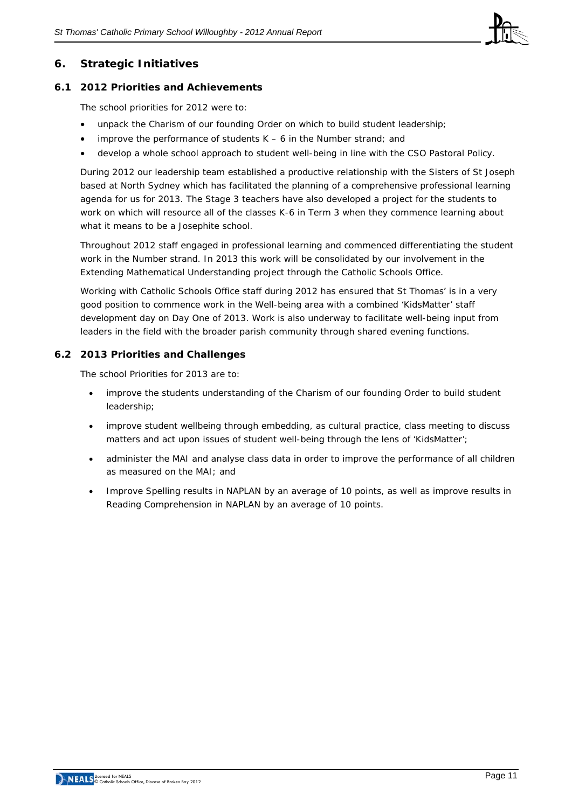

# **6. Strategic Initiatives**

## **6.1 2012 Priorities and Achievements**

The school priorities for 2012 were to:

- unpack the Charism of our founding Order on which to build student leadership;
- improve the performance of students  $K 6$  in the Number strand; and
- develop a whole school approach to student well-being in line with the CSO Pastoral Policy.

During 2012 our leadership team established a productive relationship with the Sisters of St Joseph based at North Sydney which has facilitated the planning of a comprehensive professional learning agenda for us for 2013. The Stage 3 teachers have also developed a project for the students to work on which will resource all of the classes K-6 in Term 3 when they commence learning about what it means to be a Josephite school.

Throughout 2012 staff engaged in professional learning and commenced differentiating the student work in the Number strand. In 2013 this work will be consolidated by our involvement in the Extending Mathematical Understanding project through the Catholic Schools Office.

Working with Catholic Schools Office staff during 2012 has ensured that St Thomas' is in a very good position to commence work in the Well-being area with a combined 'KidsMatter' staff development day on Day One of 2013. Work is also underway to facilitate well-being input from leaders in the field with the broader parish community through shared evening functions.

## **6.2 2013 Priorities and Challenges**

The school Priorities for 2013 are to:

- improve the students understanding of the Charism of our founding Order to build student leadership;
- improve student wellbeing through embedding, as cultural practice, class meeting to discuss matters and act upon issues of student well-being through the lens of 'KidsMatter';
- administer the MAI and analyse class data in order to improve the performance of all children as measured on the MAI; and
- Improve Spelling results in NAPLAN by an average of 10 points, as well as improve results in Reading Comprehension in NAPLAN by an average of 10 points.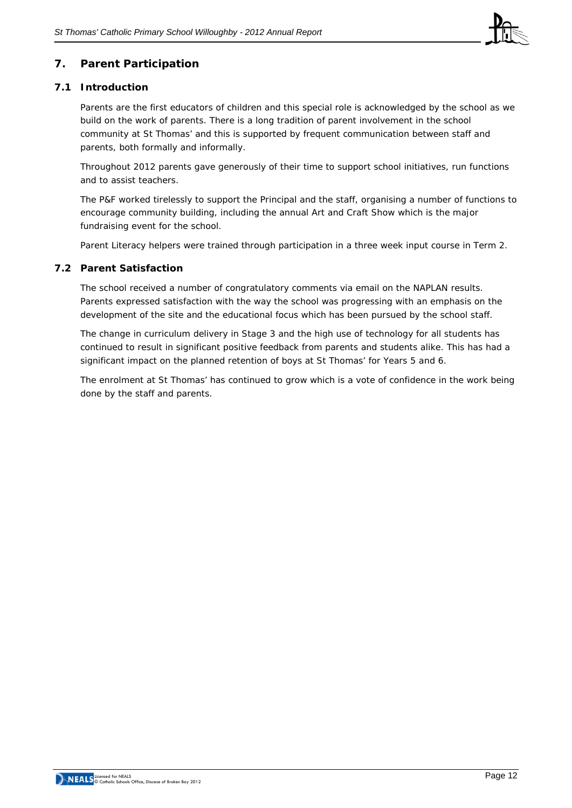

# **7. Parent Participation**

## **7.1 Introduction**

Parents are the first educators of children and this special role is acknowledged by the school as we build on the work of parents. There is a long tradition of parent involvement in the school community at St Thomas' and this is supported by frequent communication between staff and parents, both formally and informally.

Throughout 2012 parents gave generously of their time to support school initiatives, run functions and to assist teachers.

The P&F worked tirelessly to support the Principal and the staff, organising a number of functions to encourage community building, including the annual Art and Craft Show which is the major fundraising event for the school.

Parent Literacy helpers were trained through participation in a three week input course in Term 2.

### **7.2 Parent Satisfaction**

The school received a number of congratulatory comments via email on the NAPLAN results. Parents expressed satisfaction with the way the school was progressing with an emphasis on the development of the site and the educational focus which has been pursued by the school staff.

The change in curriculum delivery in Stage 3 and the high use of technology for all students has continued to result in significant positive feedback from parents and students alike. This has had a significant impact on the planned retention of boys at St Thomas' for Years 5 and 6.

The enrolment at St Thomas' has continued to grow which is a vote of confidence in the work being done by the staff and parents.